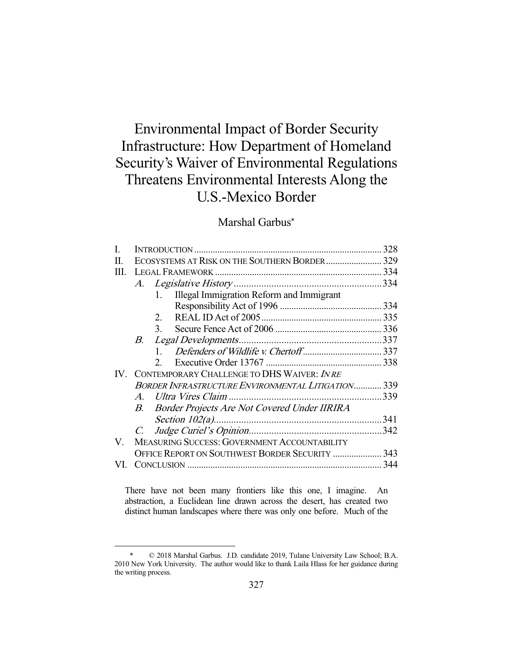# Environmental Impact of Border Security Infrastructure: How Department of Homeland Security's Waiver of Environmental Regulations Threatens Environmental Interests Along the U.S.-Mexico Border

## Marshal Garbus\*

| L    |                                                    |                                                 |  |
|------|----------------------------------------------------|-------------------------------------------------|--|
| H.   |                                                    | ECOSYSTEMS AT RISK ON THE SOUTHERN BORDER 329   |  |
| Ш.   |                                                    |                                                 |  |
|      | A.                                                 |                                                 |  |
|      |                                                    | Illegal Immigration Reform and Immigrant<br>1.  |  |
|      |                                                    |                                                 |  |
|      |                                                    | 2.                                              |  |
|      |                                                    | $\mathcal{E}$                                   |  |
|      | B.                                                 |                                                 |  |
|      |                                                    | $1 \quad$                                       |  |
|      |                                                    | $2^{\circ}$                                     |  |
| IV — |                                                    | CONTEMPORARY CHALLENGE TO DHS WAIVER: INRE      |  |
|      | BORDER INFRASTRUCTURE ENVIRONMENTAL LITIGATION 339 |                                                 |  |
|      |                                                    |                                                 |  |
|      |                                                    | B. Border Projects Are Not Covered Under IIRIRA |  |
|      |                                                    |                                                 |  |
|      | $C_{\cdot}$                                        |                                                 |  |
| V.   | MEASURING SUCCESS: GOVERNMENT ACCOUNTABILITY       |                                                 |  |
|      | OFFICE REPORT ON SOUTHWEST BORDER SECURITY  343    |                                                 |  |
| VI.  |                                                    |                                                 |  |
|      |                                                    |                                                 |  |

There have not been many frontiers like this one, I imagine. An abstraction, a Euclidean line drawn across the desert, has created two distinct human landscapes where there was only one before. Much of the

 <sup>\* © 2018</sup> Marshal Garbus. J.D. candidate 2019, Tulane University Law School; B.A. 2010 New York University. The author would like to thank Laila Hlass for her guidance during the writing process.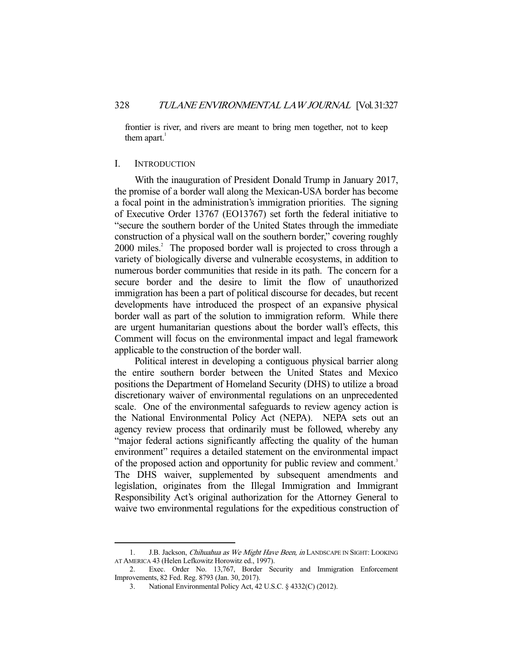frontier is river, and rivers are meant to bring men together, not to keep them apart. $<sup>1</sup>$ </sup>

#### I. INTRODUCTION

-

 With the inauguration of President Donald Trump in January 2017, the promise of a border wall along the Mexican-USA border has become a focal point in the administration's immigration priorities. The signing of Executive Order 13767 (EO13767) set forth the federal initiative to "secure the southern border of the United States through the immediate construction of a physical wall on the southern border," covering roughly 2000 miles.<sup>2</sup> The proposed border wall is projected to cross through a variety of biologically diverse and vulnerable ecosystems, in addition to numerous border communities that reside in its path. The concern for a secure border and the desire to limit the flow of unauthorized immigration has been a part of political discourse for decades, but recent developments have introduced the prospect of an expansive physical border wall as part of the solution to immigration reform. While there are urgent humanitarian questions about the border wall's effects, this Comment will focus on the environmental impact and legal framework applicable to the construction of the border wall.

 Political interest in developing a contiguous physical barrier along the entire southern border between the United States and Mexico positions the Department of Homeland Security (DHS) to utilize a broad discretionary waiver of environmental regulations on an unprecedented scale. One of the environmental safeguards to review agency action is the National Environmental Policy Act (NEPA). NEPA sets out an agency review process that ordinarily must be followed, whereby any "major federal actions significantly affecting the quality of the human environment" requires a detailed statement on the environmental impact of the proposed action and opportunity for public review and comment.<sup>3</sup> The DHS waiver, supplemented by subsequent amendments and legislation, originates from the Illegal Immigration and Immigrant Responsibility Act's original authorization for the Attorney General to waive two environmental regulations for the expeditious construction of

<sup>1.</sup> J.B. Jackson, Chihuahua as We Might Have Been, in LANDSCAPE IN SIGHT: LOOKING AT AMERICA 43 (Helen Lefkowitz Horowitz ed., 1997).

 <sup>2.</sup> Exec. Order No. 13,767, Border Security and Immigration Enforcement Improvements, 82 Fed. Reg. 8793 (Jan. 30, 2017).

 <sup>3.</sup> National Environmental Policy Act, 42 U.S.C. § 4332(C) (2012).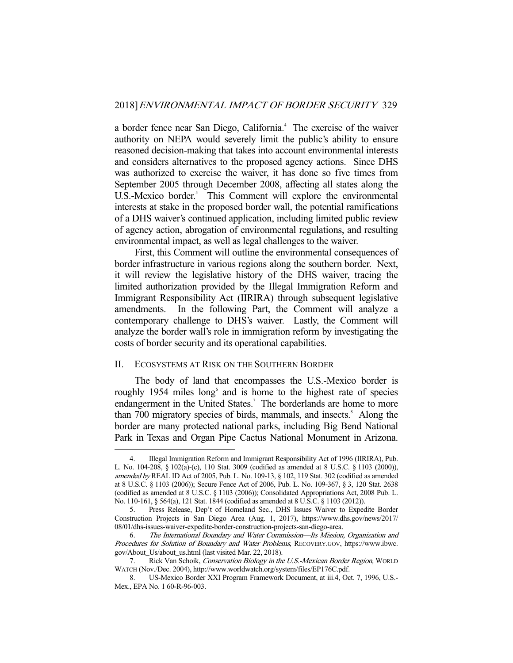a border fence near San Diego, California.<sup>4</sup> The exercise of the waiver authority on NEPA would severely limit the public's ability to ensure reasoned decision-making that takes into account environmental interests and considers alternatives to the proposed agency actions. Since DHS was authorized to exercise the waiver, it has done so five times from September 2005 through December 2008, affecting all states along the U.S.-Mexico border.<sup>5</sup> This Comment will explore the environmental interests at stake in the proposed border wall, the potential ramifications of a DHS waiver's continued application, including limited public review of agency action, abrogation of environmental regulations, and resulting environmental impact, as well as legal challenges to the waiver.

 First, this Comment will outline the environmental consequences of border infrastructure in various regions along the southern border. Next, it will review the legislative history of the DHS waiver, tracing the limited authorization provided by the Illegal Immigration Reform and Immigrant Responsibility Act (IIRIRA) through subsequent legislative amendments. In the following Part, the Comment will analyze a contemporary challenge to DHS's waiver. Lastly, the Comment will analyze the border wall's role in immigration reform by investigating the costs of border security and its operational capabilities.

#### II. ECOSYSTEMS AT RISK ON THE SOUTHERN BORDER

-

 The body of land that encompasses the U.S.-Mexico border is roughly 1954 miles long<sup>6</sup> and is home to the highest rate of species endangerment in the United States.<sup>7</sup> The borderlands are home to more than 700 migratory species of birds, mammals, and insects. Along the border are many protected national parks, including Big Bend National Park in Texas and Organ Pipe Cactus National Monument in Arizona.

 <sup>4.</sup> Illegal Immigration Reform and Immigrant Responsibility Act of 1996 (IIRIRA), Pub. L. No. 104-208, § 102(a)-(c), 110 Stat. 3009 (codified as amended at 8 U.S.C. § 1103 (2000)), amended by REAL ID Act of 2005, Pub. L. No. 109-13, § 102, 119 Stat. 302 (codified as amended at 8 U.S.C. § 1103 (2006)); Secure Fence Act of 2006, Pub. L. No. 109-367, § 3, 120 Stat. 2638 (codified as amended at 8 U.S.C. § 1103 (2006)); Consolidated Appropriations Act, 2008 Pub. L. No. 110-161, § 564(a), 121 Stat. 1844 (codified as amended at 8 U.S.C. § 1103 (2012)).

 <sup>5.</sup> Press Release, Dep't of Homeland Sec., DHS Issues Waiver to Expedite Border Construction Projects in San Diego Area (Aug. 1, 2017), https://www.dhs.gov/news/2017/ 08/01/dhs-issues-waiver-expedite-border-construction-projects-san-diego-area.

 <sup>6.</sup> The International Boundary and Water Commission—Its Mission, Organization and Procedures for Solution of Boundary and Water Problems, RECOVERY.GOV, https://www.ibwc. gov/About\_Us/about\_us.html (last visited Mar. 22, 2018).

<sup>7.</sup> Rick Van Schoik, Conservation Biology in the U.S.-Mexican Border Region, WORLD WATCH (Nov./Dec. 2004), http://www.worldwatch.org/system/files/EP176C.pdf.

 <sup>8.</sup> US-Mexico Border XXI Program Framework Document, at iii.4, Oct. 7, 1996, U.S.- Mex., EPA No. 1 60-R-96-003.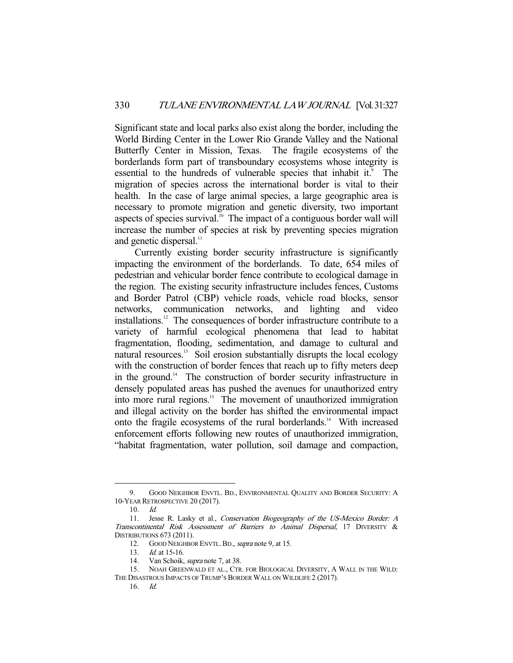Significant state and local parks also exist along the border, including the World Birding Center in the Lower Rio Grande Valley and the National Butterfly Center in Mission, Texas. The fragile ecosystems of the borderlands form part of transboundary ecosystems whose integrity is essential to the hundreds of vulnerable species that inhabit it.<sup>9</sup> The migration of species across the international border is vital to their health. In the case of large animal species, a large geographic area is necessary to promote migration and genetic diversity, two important aspects of species survival. $10^{\circ}$  The impact of a contiguous border wall will increase the number of species at risk by preventing species migration and genetic dispersal.<sup>11</sup>

 Currently existing border security infrastructure is significantly impacting the environment of the borderlands. To date, 654 miles of pedestrian and vehicular border fence contribute to ecological damage in the region. The existing security infrastructure includes fences, Customs and Border Patrol (CBP) vehicle roads, vehicle road blocks, sensor networks, communication networks, and lighting and video installations.12 The consequences of border infrastructure contribute to a variety of harmful ecological phenomena that lead to habitat fragmentation, flooding, sedimentation, and damage to cultural and natural resources.<sup>13</sup> Soil erosion substantially disrupts the local ecology with the construction of border fences that reach up to fifty meters deep in the ground.<sup>14</sup> The construction of border security infrastructure in densely populated areas has pushed the avenues for unauthorized entry into more rural regions.<sup>15</sup> The movement of unauthorized immigration and illegal activity on the border has shifted the environmental impact onto the fragile ecosystems of the rural borderlands.<sup>16</sup> With increased enforcement efforts following new routes of unauthorized immigration, "habitat fragmentation, water pollution, soil damage and compaction,

 <sup>9.</sup> GOOD NEIGHBOR ENVTL. BD., ENVIRONMENTAL QUALITY AND BORDER SECURITY: A 10-YEAR RETROSPECTIVE 20 (2017).

 <sup>10.</sup> Id.

<sup>11.</sup> Jesse R. Lasky et al., Conservation Biogeography of the US-Mexico Border: A Transcontinental Risk Assessment of Barriers to Animal Dispersal, 17 DIVERSITY & DISTRIBUTIONS 673 (2011).

<sup>12.</sup> GOOD NEIGHBOR ENVTL. BD., *supra* note 9, at 15.

<sup>13.</sup> *Id.* at 15-16.

 <sup>14.</sup> Van Schoik, supra note 7, at 38.

 <sup>15.</sup> NOAH GREENWALD ET AL., CTR. FOR BIOLOGICAL DIVERSITY, A WALL IN THE WILD: THE DISASTROUS IMPACTS OF TRUMP'S BORDER WALL ON WILDLIFE 2 (2017).

 $16$   $Id$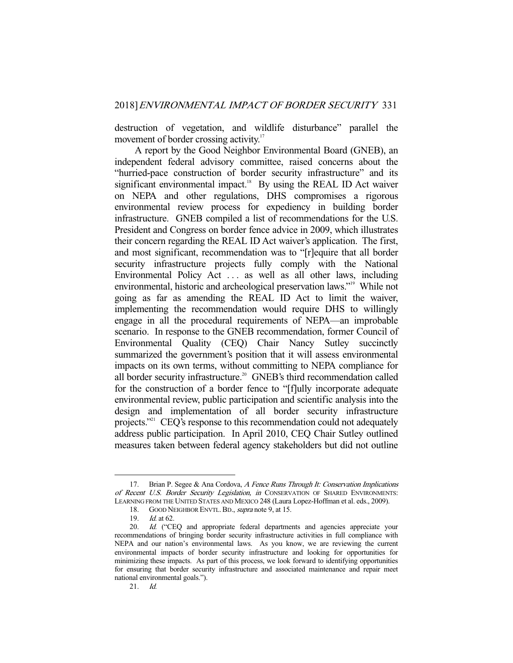destruction of vegetation, and wildlife disturbance" parallel the movement of border crossing activity.<sup>17</sup>

 A report by the Good Neighbor Environmental Board (GNEB), an independent federal advisory committee, raised concerns about the "hurried-pace construction of border security infrastructure" and its significant environmental impact.<sup>18</sup> By using the REAL ID Act waiver on NEPA and other regulations, DHS compromises a rigorous environmental review process for expediency in building border infrastructure. GNEB compiled a list of recommendations for the U.S. President and Congress on border fence advice in 2009, which illustrates their concern regarding the REAL ID Act waiver's application. The first, and most significant, recommendation was to "[r]equire that all border security infrastructure projects fully comply with the National Environmental Policy Act . . . as well as all other laws, including environmental, historic and archeological preservation laws."<sup>19</sup> While not going as far as amending the REAL ID Act to limit the waiver, implementing the recommendation would require DHS to willingly engage in all the procedural requirements of NEPA—an improbable scenario. In response to the GNEB recommendation, former Council of Environmental Quality (CEQ) Chair Nancy Sutley succinctly summarized the government's position that it will assess environmental impacts on its own terms, without committing to NEPA compliance for all border security infrastructure.<sup>20</sup> GNEB's third recommendation called for the construction of a border fence to "[f]ully incorporate adequate environmental review, public participation and scientific analysis into the design and implementation of all border security infrastructure projects."<sup>21</sup> CEQ's response to this recommendation could not adequately address public participation. In April 2010, CEQ Chair Sutley outlined measures taken between federal agency stakeholders but did not outline

<sup>17.</sup> Brian P. Segee & Ana Cordova, A Fence Runs Through It: Conservation Implications of Recent U.S. Border Security Legislation, in CONSERVATION OF SHARED ENVIRONMENTS: LEARNING FROM THE UNITED STATES AND MEXICO 248 (Laura Lopez-Hoffman et al. eds., 2009).

<sup>18.</sup> GOOD NEIGHBOR ENVTL. BD., *supra* note 9, at 15.

 <sup>19.</sup> Id. at 62.

<sup>20.</sup> Id. ("CEQ and appropriate federal departments and agencies appreciate your recommendations of bringing border security infrastructure activities in full compliance with NEPA and our nation's environmental laws. As you know, we are reviewing the current environmental impacts of border security infrastructure and looking for opportunities for minimizing these impacts. As part of this process, we look forward to identifying opportunities for ensuring that border security infrastructure and associated maintenance and repair meet national environmental goals.").

 <sup>21.</sup> Id.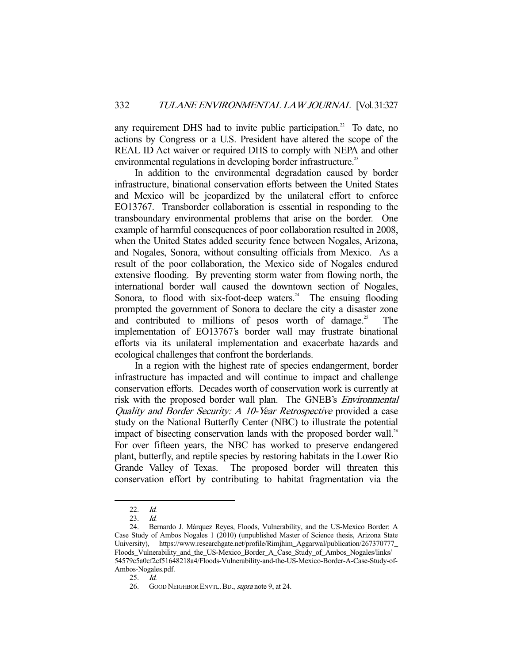any requirement DHS had to invite public participation.<sup>22</sup> To date, no actions by Congress or a U.S. President have altered the scope of the REAL ID Act waiver or required DHS to comply with NEPA and other environmental regulations in developing border infrastructure.<sup>23</sup>

 In addition to the environmental degradation caused by border infrastructure, binational conservation efforts between the United States and Mexico will be jeopardized by the unilateral effort to enforce EO13767. Transborder collaboration is essential in responding to the transboundary environmental problems that arise on the border. One example of harmful consequences of poor collaboration resulted in 2008, when the United States added security fence between Nogales, Arizona, and Nogales, Sonora, without consulting officials from Mexico. As a result of the poor collaboration, the Mexico side of Nogales endured extensive flooding. By preventing storm water from flowing north, the international border wall caused the downtown section of Nogales, Sonora, to flood with six-foot-deep waters.<sup>24</sup> The ensuing flooding prompted the government of Sonora to declare the city a disaster zone and contributed to millions of pesos worth of damage.<sup>25</sup> The implementation of EO13767's border wall may frustrate binational efforts via its unilateral implementation and exacerbate hazards and ecological challenges that confront the borderlands.

 In a region with the highest rate of species endangerment, border infrastructure has impacted and will continue to impact and challenge conservation efforts. Decades worth of conservation work is currently at risk with the proposed border wall plan. The GNEB's Environmental Quality and Border Security: A 10-Year Retrospective provided a case study on the National Butterfly Center (NBC) to illustrate the potential impact of bisecting conservation lands with the proposed border wall.<sup>26</sup> For over fifteen years, the NBC has worked to preserve endangered plant, butterfly, and reptile species by restoring habitats in the Lower Rio Grande Valley of Texas. The proposed border will threaten this conservation effort by contributing to habitat fragmentation via the

 <sup>22.</sup> Id.

 <sup>23.</sup> Id.

 <sup>24.</sup> Bernardo J. Márquez Reyes, Floods, Vulnerability, and the US-Mexico Border: A Case Study of Ambos Nogales 1 (2010) (unpublished Master of Science thesis, Arizona State University), https://www.researchgate.net/profile/Rimjhim\_Aggarwal/publication/267370777\_ Floods\_Vulnerability\_and\_the\_US-Mexico\_Border\_A\_Case\_Study\_of\_Ambos\_Nogales/links/ 54579c5a0cf2cf51648218a4/Floods-Vulnerability-and-the-US-Mexico-Border-A-Case-Study-of-Ambos-Nogales.pdf.

 <sup>25.</sup> Id.

<sup>26.</sup> GOOD NEIGHBOR ENVTL. BD., *supra* note 9, at 24.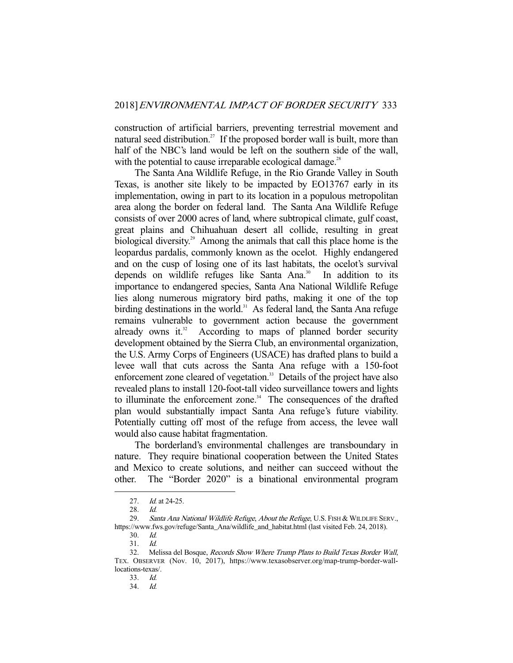construction of artificial barriers, preventing terrestrial movement and natural seed distribution.<sup>27</sup> If the proposed border wall is built, more than half of the NBC's land would be left on the southern side of the wall, with the potential to cause irreparable ecological damage.<sup>28</sup>

 The Santa Ana Wildlife Refuge, in the Rio Grande Valley in South Texas, is another site likely to be impacted by EO13767 early in its implementation, owing in part to its location in a populous metropolitan area along the border on federal land. The Santa Ana Wildlife Refuge consists of over 2000 acres of land, where subtropical climate, gulf coast, great plains and Chihuahuan desert all collide, resulting in great biological diversity.<sup>29</sup> Among the animals that call this place home is the leopardus pardalis, commonly known as the ocelot. Highly endangered and on the cusp of losing one of its last habitats, the ocelot's survival depends on wildlife refuges like Santa Ana.<sup>30</sup> In addition to its importance to endangered species, Santa Ana National Wildlife Refuge lies along numerous migratory bird paths, making it one of the top birding destinations in the world.<sup>31</sup> As federal land, the Santa Ana refuge remains vulnerable to government action because the government already owns it. $32$  According to maps of planned border security development obtained by the Sierra Club, an environmental organization, the U.S. Army Corps of Engineers (USACE) has drafted plans to build a levee wall that cuts across the Santa Ana refuge with a 150-foot enforcement zone cleared of vegetation.<sup>33</sup> Details of the project have also revealed plans to install 120-foot-tall video surveillance towers and lights to illuminate the enforcement zone.<sup>34</sup> The consequences of the drafted plan would substantially impact Santa Ana refuge's future viability. Potentially cutting off most of the refuge from access, the levee wall would also cause habitat fragmentation.

 The borderland's environmental challenges are transboundary in nature. They require binational cooperation between the United States and Mexico to create solutions, and neither can succeed without the other. The "Border 2020" is a binational environmental program

<sup>27.</sup> *Id.* at 24-25.

<sup>28.</sup> *Id.*<br>29. *Sal* 

Santa Ana National Wildlife Refuge, About the Refuge, U.S. FISH & WILDLIFE SERV., https://www.fws.gov/refuge/Santa Ana/wildlife and habitat.html (last visited Feb. 24, 2018).

 <sup>30.</sup> Id.

 <sup>31.</sup> Id.

 <sup>32.</sup> Melissa del Bosque, Records Show Where Trump Plans to Build Texas Border Wall, TEX. OBSERVER (Nov. 10, 2017), https://www.texasobserver.org/map-trump-border-walllocations-texas/.

 <sup>33.</sup> Id.

 $Id.$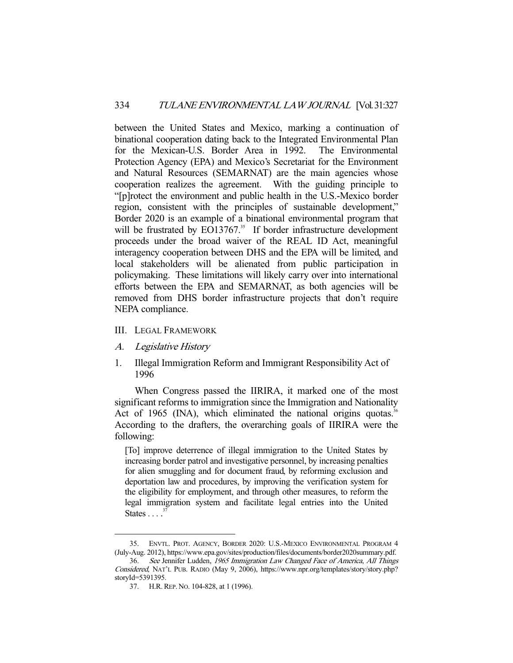between the United States and Mexico, marking a continuation of binational cooperation dating back to the Integrated Environmental Plan for the Mexican-U.S. Border Area in 1992. The Environmental Protection Agency (EPA) and Mexico's Secretariat for the Environment and Natural Resources (SEMARNAT) are the main agencies whose cooperation realizes the agreement. With the guiding principle to "[p]rotect the environment and public health in the U.S.-Mexico border region, consistent with the principles of sustainable development," Border 2020 is an example of a binational environmental program that will be frustrated by EO13767.<sup>35</sup> If border infrastructure development proceeds under the broad waiver of the REAL ID Act, meaningful interagency cooperation between DHS and the EPA will be limited, and local stakeholders will be alienated from public participation in policymaking. These limitations will likely carry over into international efforts between the EPA and SEMARNAT, as both agencies will be removed from DHS border infrastructure projects that don't require NEPA compliance.

- III. LEGAL FRAMEWORK
- A. Legislative History

-

1. Illegal Immigration Reform and Immigrant Responsibility Act of 1996

 When Congress passed the IIRIRA, it marked one of the most significant reforms to immigration since the Immigration and Nationality Act of 1965 (INA), which eliminated the national origins quotas.<sup>36</sup> According to the drafters, the overarching goals of IIRIRA were the following:

[To] improve deterrence of illegal immigration to the United States by increasing border patrol and investigative personnel, by increasing penalties for alien smuggling and for document fraud, by reforming exclusion and deportation law and procedures, by improving the verification system for the eligibility for employment, and through other measures, to reform the legal immigration system and facilitate legal entries into the United States  $\ldots$ <sup>37</sup>

 <sup>35.</sup> ENVTL. PROT. AGENCY, BORDER 2020: U.S.-MEXICO ENVIRONMENTAL PROGRAM 4 (July-Aug. 2012), https://www.epa.gov/sites/production/files/documents/border2020summary.pdf.

 <sup>36.</sup> See Jennifer Ludden, 1965 Immigration Law Changed Face of America, All Things Considered, NAT'L PUB. RADIO (May 9, 2006), https://www.npr.org/templates/story/story.php? storyId=5391395.

 <sup>37.</sup> H.R.REP. NO. 104-828, at 1 (1996).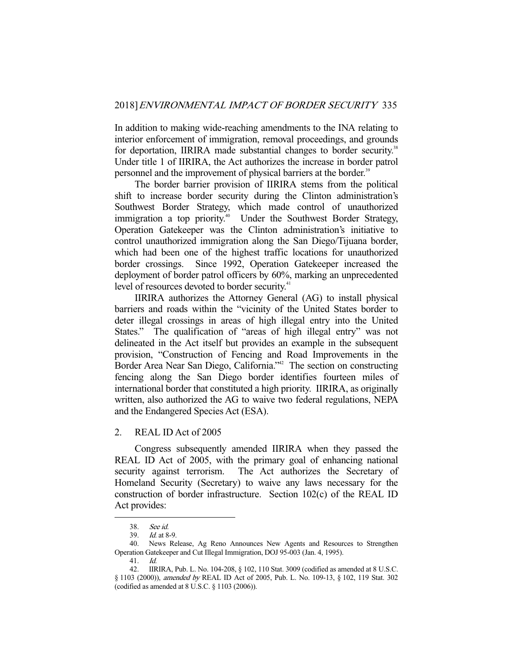In addition to making wide-reaching amendments to the INA relating to interior enforcement of immigration, removal proceedings, and grounds for deportation, IIRIRA made substantial changes to border security.<sup>38</sup> Under title 1 of IIRIRA, the Act authorizes the increase in border patrol personnel and the improvement of physical barriers at the border.<sup>39</sup>

 The border barrier provision of IIRIRA stems from the political shift to increase border security during the Clinton administration's Southwest Border Strategy, which made control of unauthorized immigration a top priority.<sup>40</sup> Under the Southwest Border Strategy, Operation Gatekeeper was the Clinton administration's initiative to control unauthorized immigration along the San Diego/Tijuana border, which had been one of the highest traffic locations for unauthorized border crossings. Since 1992, Operation Gatekeeper increased the deployment of border patrol officers by 60%, marking an unprecedented level of resources devoted to border security.<sup>41</sup>

 IIRIRA authorizes the Attorney General (AG) to install physical barriers and roads within the "vicinity of the United States border to deter illegal crossings in areas of high illegal entry into the United States." The qualification of "areas of high illegal entry" was not delineated in the Act itself but provides an example in the subsequent provision, "Construction of Fencing and Road Improvements in the Border Area Near San Diego, California."<sup>42</sup> The section on constructing fencing along the San Diego border identifies fourteen miles of international border that constituted a high priority. IIRIRA, as originally written, also authorized the AG to waive two federal regulations, NEPA and the Endangered Species Act (ESA).

2. REAL ID Act of 2005

 Congress subsequently amended IIRIRA when they passed the REAL ID Act of 2005, with the primary goal of enhancing national security against terrorism. The Act authorizes the Secretary of Homeland Security (Secretary) to waive any laws necessary for the construction of border infrastructure. Section 102(c) of the REAL ID Act provides:

 <sup>38.</sup> See id.

 <sup>39.</sup> Id. at 8-9.

 <sup>40.</sup> News Release, Ag Reno Announces New Agents and Resources to Strengthen Operation Gatekeeper and Cut Illegal Immigration, DOJ 95-003 (Jan. 4, 1995).

 <sup>41.</sup> Id.

 <sup>42.</sup> IIRIRA, Pub. L. No. 104-208, § 102, 110 Stat. 3009 (codified as amended at 8 U.S.C. § 1103 (2000)), amended by REAL ID Act of 2005, Pub. L. No. 109-13, § 102, 119 Stat. 302 (codified as amended at 8 U.S.C. § 1103 (2006)).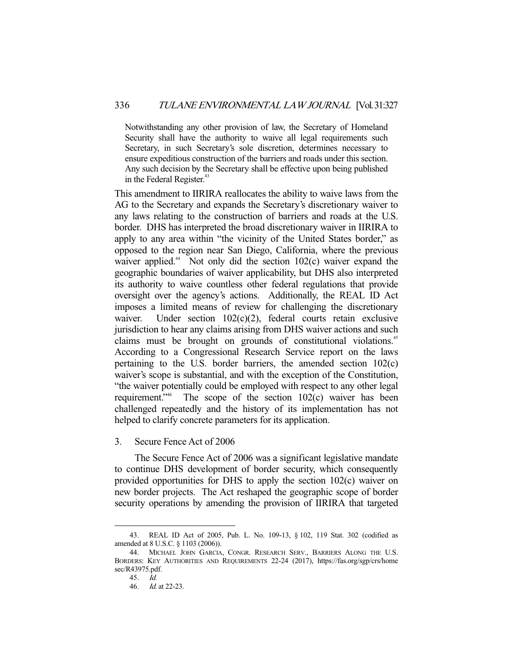Notwithstanding any other provision of law, the Secretary of Homeland Security shall have the authority to waive all legal requirements such Secretary, in such Secretary's sole discretion, determines necessary to ensure expeditious construction of the barriers and roads under this section. Any such decision by the Secretary shall be effective upon being published in the Federal Register.<sup>43</sup>

This amendment to IIRIRA reallocates the ability to waive laws from the AG to the Secretary and expands the Secretary's discretionary waiver to any laws relating to the construction of barriers and roads at the U.S. border. DHS has interpreted the broad discretionary waiver in IIRIRA to apply to any area within "the vicinity of the United States border," as opposed to the region near San Diego, California, where the previous waiver applied.<sup>44</sup> Not only did the section  $102(c)$  waiver expand the geographic boundaries of waiver applicability, but DHS also interpreted its authority to waive countless other federal regulations that provide oversight over the agency's actions. Additionally, the REAL ID Act imposes a limited means of review for challenging the discretionary waiver. Under section 102(c)(2), federal courts retain exclusive jurisdiction to hear any claims arising from DHS waiver actions and such claims must be brought on grounds of constitutional violations.<sup>45</sup> According to a Congressional Research Service report on the laws pertaining to the U.S. border barriers, the amended section 102(c) waiver's scope is substantial, and with the exception of the Constitution, "the waiver potentially could be employed with respect to any other legal requirement."46 The scope of the section 102(c) waiver has been challenged repeatedly and the history of its implementation has not helped to clarify concrete parameters for its application.

3. Secure Fence Act of 2006

 The Secure Fence Act of 2006 was a significant legislative mandate to continue DHS development of border security, which consequently provided opportunities for DHS to apply the section 102(c) waiver on new border projects. The Act reshaped the geographic scope of border security operations by amending the provision of IIRIRA that targeted

 <sup>43.</sup> REAL ID Act of 2005, Pub. L. No. 109-13, § 102, 119 Stat. 302 (codified as amended at 8 U.S.C. § 1103 (2006)).

 <sup>44.</sup> MICHAEL JOHN GARCIA, CONGR. RESEARCH SERV., BARRIERS ALONG THE U.S. BORDERS: KEY AUTHORITIES AND REQUIREMENTS 22-24 (2017), https://fas.org/sgp/crs/home sec/R43975.pdf.

 <sup>45.</sup> Id.

 <sup>46.</sup> Id. at 22-23.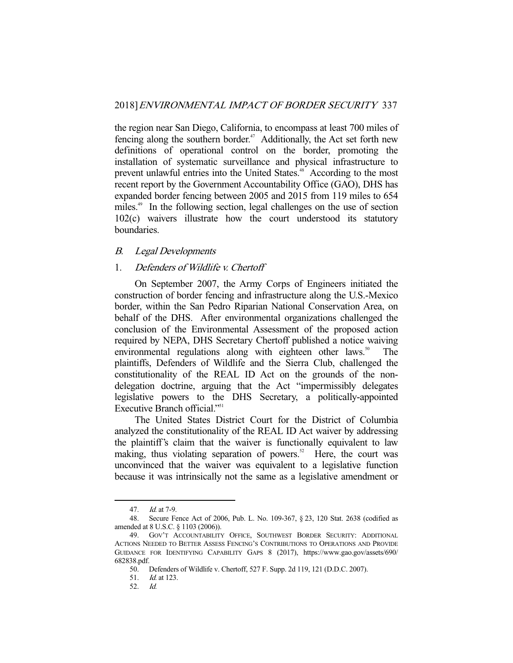the region near San Diego, California, to encompass at least 700 miles of fencing along the southern border.<sup>47</sup> Additionally, the Act set forth new definitions of operational control on the border, promoting the installation of systematic surveillance and physical infrastructure to prevent unlawful entries into the United States.<sup>48</sup> According to the most recent report by the Government Accountability Office (GAO), DHS has expanded border fencing between 2005 and 2015 from 119 miles to 654 miles.<sup>49</sup> In the following section, legal challenges on the use of section 102(c) waivers illustrate how the court understood its statutory boundaries.

#### B. Legal Developments

### 1. Defenders of Wildlife v. Chertoff

 On September 2007, the Army Corps of Engineers initiated the construction of border fencing and infrastructure along the U.S.-Mexico border, within the San Pedro Riparian National Conservation Area, on behalf of the DHS. After environmental organizations challenged the conclusion of the Environmental Assessment of the proposed action required by NEPA, DHS Secretary Chertoff published a notice waiving environmental regulations along with eighteen other laws.<sup>50</sup> The plaintiffs, Defenders of Wildlife and the Sierra Club, challenged the constitutionality of the REAL ID Act on the grounds of the nondelegation doctrine, arguing that the Act "impermissibly delegates legislative powers to the DHS Secretary, a politically-appointed Executive Branch official."<sup>51</sup>

 The United States District Court for the District of Columbia analyzed the constitutionality of the REAL ID Act waiver by addressing the plaintiff's claim that the waiver is functionally equivalent to law making, thus violating separation of powers.<sup>52</sup> Here, the court was unconvinced that the waiver was equivalent to a legislative function because it was intrinsically not the same as a legislative amendment or

 <sup>47.</sup> Id. at 7-9.

 <sup>48.</sup> Secure Fence Act of 2006, Pub. L. No. 109-367, § 23, 120 Stat. 2638 (codified as amended at 8 U.S.C. § 1103 (2006)).

 <sup>49.</sup> GOV'T ACCOUNTABILITY OFFICE, SOUTHWEST BORDER SECURITY: ADDITIONAL ACTIONS NEEDED TO BETTER ASSESS FENCING'S CONTRIBUTIONS TO OPERATIONS AND PROVIDE GUIDANCE FOR IDENTIFYING CAPABILITY GAPS 8 (2017), https://www.gao.gov/assets/690/ 682838.pdf.

 <sup>50.</sup> Defenders of Wildlife v. Chertoff, 527 F. Supp. 2d 119, 121 (D.D.C. 2007).

 <sup>51.</sup> Id. at 123.

 <sup>52.</sup> Id.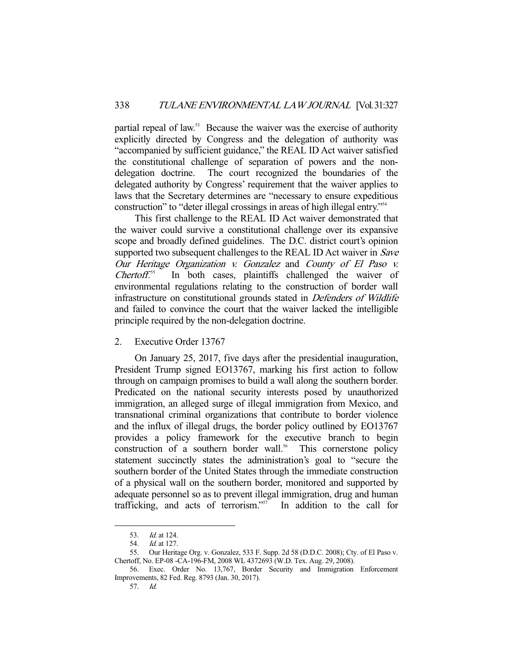partial repeal of law.<sup>53</sup> Because the waiver was the exercise of authority explicitly directed by Congress and the delegation of authority was "accompanied by sufficient guidance," the REAL ID Act waiver satisfied the constitutional challenge of separation of powers and the nondelegation doctrine. The court recognized the boundaries of the delegated authority by Congress' requirement that the waiver applies to laws that the Secretary determines are "necessary to ensure expeditious construction" to "deter illegal crossings in areas of high illegal entry."54

 This first challenge to the REAL ID Act waiver demonstrated that the waiver could survive a constitutional challenge over its expansive scope and broadly defined guidelines. The D.C. district court's opinion supported two subsequent challenges to the REAL ID Act waiver in *Save* Our Heritage Organization v. Gonzalez and County of El Paso v.  $Chertoff.$ <sup>55</sup> In both cases, plaintiffs challenged the waiver of environmental regulations relating to the construction of border wall infrastructure on constitutional grounds stated in Defenders of Wildlife and failed to convince the court that the waiver lacked the intelligible principle required by the non-delegation doctrine.

2. Executive Order 13767

 On January 25, 2017, five days after the presidential inauguration, President Trump signed EO13767, marking his first action to follow through on campaign promises to build a wall along the southern border. Predicated on the national security interests posed by unauthorized immigration, an alleged surge of illegal immigration from Mexico, and transnational criminal organizations that contribute to border violence and the influx of illegal drugs, the border policy outlined by EO13767 provides a policy framework for the executive branch to begin construction of a southern border wall.<sup>56</sup> This cornerstone policy statement succinctly states the administration's goal to "secure the southern border of the United States through the immediate construction of a physical wall on the southern border, monitored and supported by adequate personnel so as to prevent illegal immigration, drug and human trafficking, and acts of terrorism."57 In addition to the call for

 <sup>53.</sup> Id. at 124.

 <sup>54.</sup> Id. at 127.

 <sup>55.</sup> Our Heritage Org. v. Gonzalez, 533 F. Supp. 2d 58 (D.D.C. 2008); Cty. of El Paso v. Chertoff, No. EP-08 -CA-196-FM, 2008 WL 4372693 (W.D. Tex. Aug. 29, 2008).

 <sup>56.</sup> Exec. Order No. 13,767, Border Security and Immigration Enforcement Improvements, 82 Fed. Reg. 8793 (Jan. 30, 2017).

 <sup>57.</sup> Id.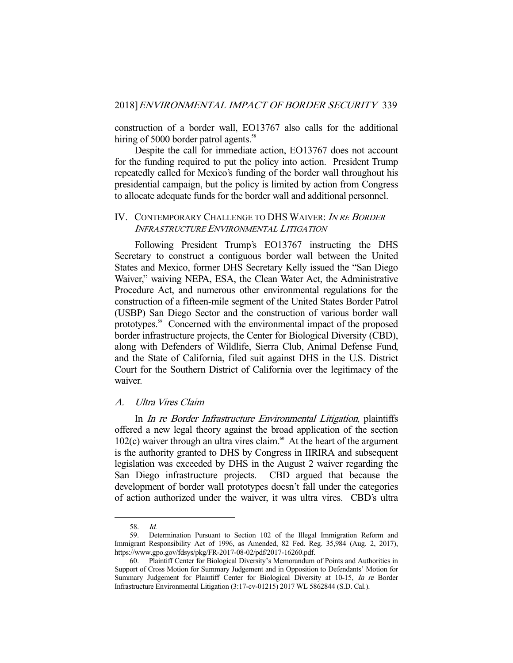construction of a border wall, EO13767 also calls for the additional hiring of 5000 border patrol agents.<sup>58</sup>

 Despite the call for immediate action, EO13767 does not account for the funding required to put the policy into action. President Trump repeatedly called for Mexico's funding of the border wall throughout his presidential campaign, but the policy is limited by action from Congress to allocate adequate funds for the border wall and additional personnel.

## IV. CONTEMPORARY CHALLENGE TO DHS WAIVER: IN RE BORDER INFRASTRUCTURE ENVIRONMENTAL LITIGATION

 Following President Trump's EO13767 instructing the DHS Secretary to construct a contiguous border wall between the United States and Mexico, former DHS Secretary Kelly issued the "San Diego Waiver," waiving NEPA, ESA, the Clean Water Act, the Administrative Procedure Act, and numerous other environmental regulations for the construction of a fifteen-mile segment of the United States Border Patrol (USBP) San Diego Sector and the construction of various border wall prototypes.59 Concerned with the environmental impact of the proposed border infrastructure projects, the Center for Biological Diversity (CBD), along with Defenders of Wildlife, Sierra Club, Animal Defense Fund, and the State of California, filed suit against DHS in the U.S. District Court for the Southern District of California over the legitimacy of the waiver.

## A. Ultra Vires Claim

 In In re Border Infrastructure Environmental Litigation, plaintiffs offered a new legal theory against the broad application of the section 102(c) waiver through an ultra vires claim.<sup>60</sup> At the heart of the argument is the authority granted to DHS by Congress in IIRIRA and subsequent legislation was exceeded by DHS in the August 2 waiver regarding the San Diego infrastructure projects. CBD argued that because the development of border wall prototypes doesn't fall under the categories of action authorized under the waiver, it was ultra vires. CBD's ultra

 <sup>58.</sup> Id.

 <sup>59.</sup> Determination Pursuant to Section 102 of the Illegal Immigration Reform and Immigrant Responsibility Act of 1996, as Amended, 82 Fed. Reg. 35,984 (Aug. 2, 2017), https://www.gpo.gov/fdsys/pkg/FR-2017-08-02/pdf/2017-16260.pdf.

 <sup>60.</sup> Plaintiff Center for Biological Diversity's Memorandum of Points and Authorities in Support of Cross Motion for Summary Judgement and in Opposition to Defendants' Motion for Summary Judgement for Plaintiff Center for Biological Diversity at 10-15, In re Border Infrastructure Environmental Litigation (3:17-cv-01215) 2017 WL 5862844 (S.D. Cal.).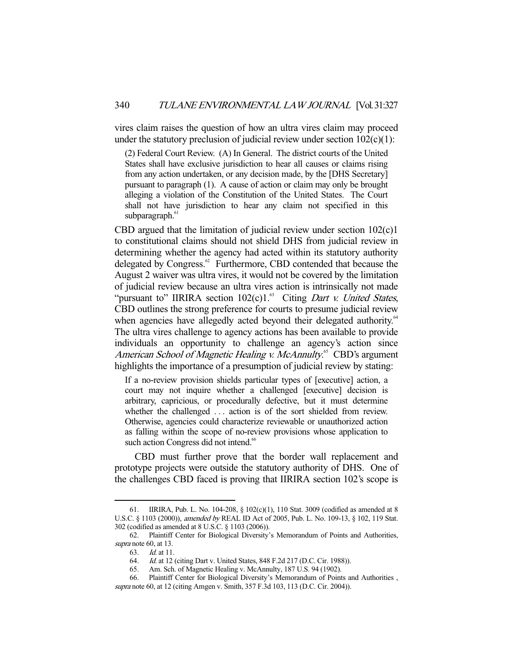vires claim raises the question of how an ultra vires claim may proceed under the statutory preclusion of judicial review under section  $102(c)(1)$ :

(2) Federal Court Review. (A) In General. The district courts of the United States shall have exclusive jurisdiction to hear all causes or claims rising from any action undertaken, or any decision made, by the [DHS Secretary] pursuant to paragraph (1). A cause of action or claim may only be brought alleging a violation of the Constitution of the United States. The Court shall not have jurisdiction to hear any claim not specified in this subparagraph.<sup>61</sup>

CBD argued that the limitation of judicial review under section 102(c)1 to constitutional claims should not shield DHS from judicial review in determining whether the agency had acted within its statutory authority delegated by Congress.<sup>62</sup> Furthermore, CBD contended that because the August 2 waiver was ultra vires, it would not be covered by the limitation of judicial review because an ultra vires action is intrinsically not made "pursuant to" IIRIRA section  $102(c)1$ .<sup>63</sup> Citing *Dart v. United States*, CBD outlines the strong preference for courts to presume judicial review when agencies have allegedly acted beyond their delegated authority.<sup>64</sup> The ultra vires challenge to agency actions has been available to provide individuals an opportunity to challenge an agency's action since American School of Magnetic Healing v. McAnnulty.<sup>65</sup> CBD's argument highlights the importance of a presumption of judicial review by stating:

If a no-review provision shields particular types of [executive] action, a court may not inquire whether a challenged [executive] decision is arbitrary, capricious, or procedurally defective, but it must determine whether the challenged ... action is of the sort shielded from review. Otherwise, agencies could characterize reviewable or unauthorized action as falling within the scope of no-review provisions whose application to such action Congress did not intend.<sup>66</sup>

 CBD must further prove that the border wall replacement and prototype projects were outside the statutory authority of DHS. One of the challenges CBD faced is proving that IIRIRA section 102's scope is

 <sup>61.</sup> IIRIRA, Pub. L. No. 104-208, § 102(c)(1), 110 Stat. 3009 (codified as amended at 8 U.S.C. § 1103 (2000)), amended by REAL ID Act of 2005, Pub. L. No. 109-13, § 102, 119 Stat. 302 (codified as amended at 8 U.S.C. § 1103 (2006)).

 <sup>62.</sup> Plaintiff Center for Biological Diversity's Memorandum of Points and Authorities, supra note 60, at 13.

 <sup>63.</sup> Id. at 11.

 <sup>64.</sup> Id. at 12 (citing Dart v. United States, 848 F.2d 217 (D.C. Cir. 1988)).

 <sup>65.</sup> Am. Sch. of Magnetic Healing v. McAnnulty, 187 U.S. 94 (1902).

 <sup>66.</sup> Plaintiff Center for Biological Diversity's Memorandum of Points and Authorities , supra note 60, at 12 (citing Amgen v. Smith, 357 F.3d 103, 113 (D.C. Cir. 2004)).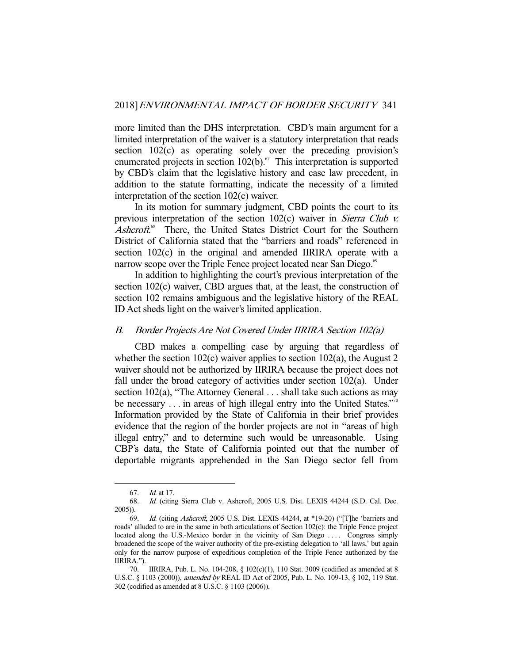more limited than the DHS interpretation. CBD's main argument for a limited interpretation of the waiver is a statutory interpretation that reads section 102(c) as operating solely over the preceding provision's enumerated projects in section  $102(b)$ .<sup>67</sup> This interpretation is supported by CBD's claim that the legislative history and case law precedent, in addition to the statute formatting, indicate the necessity of a limited interpretation of the section 102(c) waiver.

 In its motion for summary judgment, CBD points the court to its previous interpretation of the section 102(c) waiver in *Sierra Club v.* Ashcroft.<sup>68</sup> There, the United States District Court for the Southern District of California stated that the "barriers and roads" referenced in section 102(c) in the original and amended IIRIRA operate with a narrow scope over the Triple Fence project located near San Diego.<sup>69</sup>

 In addition to highlighting the court's previous interpretation of the section 102(c) waiver, CBD argues that, at the least, the construction of section 102 remains ambiguous and the legislative history of the REAL ID Act sheds light on the waiver's limited application.

### B. Border Projects Are Not Covered Under IIRIRA Section 102(a)

 CBD makes a compelling case by arguing that regardless of whether the section  $102(c)$  waiver applies to section  $102(a)$ , the August 2 waiver should not be authorized by IIRIRA because the project does not fall under the broad category of activities under section 102(a). Under section 102(a), "The Attorney General . . . shall take such actions as may be necessary . . . in areas of high illegal entry into the United States."<sup>70</sup> Information provided by the State of California in their brief provides evidence that the region of the border projects are not in "areas of high illegal entry," and to determine such would be unreasonable. Using CBP's data, the State of California pointed out that the number of deportable migrants apprehended in the San Diego sector fell from

 <sup>67.</sup> Id. at 17.

 <sup>68.</sup> Id. (citing Sierra Club v. Ashcroft, 2005 U.S. Dist. LEXIS 44244 (S.D. Cal. Dec. 2005)).

 <sup>69.</sup> Id. (citing Ashcroft, 2005 U.S. Dist. LEXIS 44244, at \*19-20) ("[T]he 'barriers and roads' alluded to are in the same in both articulations of Section 102(c): the Triple Fence project located along the U.S.-Mexico border in the vicinity of San Diego .... Congress simply broadened the scope of the waiver authority of the pre-existing delegation to 'all laws,' but again only for the narrow purpose of expeditious completion of the Triple Fence authorized by the IIRIRA.").

 <sup>70.</sup> IIRIRA, Pub. L. No. 104-208, § 102(c)(1), 110 Stat. 3009 (codified as amended at 8 U.S.C. § 1103 (2000)), amended by REAL ID Act of 2005, Pub. L. No. 109-13, § 102, 119 Stat. 302 (codified as amended at 8 U.S.C. § 1103 (2006)).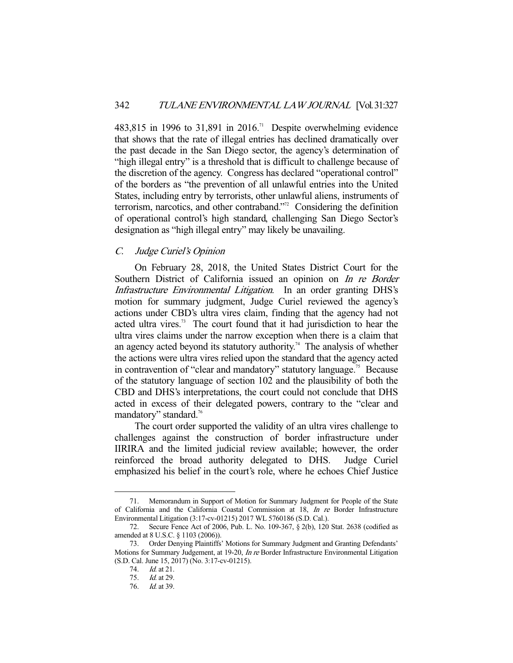483,815 in 1996 to 31,891 in 2016.<sup>71</sup> Despite overwhelming evidence that shows that the rate of illegal entries has declined dramatically over the past decade in the San Diego sector, the agency's determination of "high illegal entry" is a threshold that is difficult to challenge because of the discretion of the agency. Congress has declared "operational control" of the borders as "the prevention of all unlawful entries into the United States, including entry by terrorists, other unlawful aliens, instruments of terrorism, narcotics, and other contraband."<sup>72</sup> Considering the definition of operational control's high standard, challenging San Diego Sector's designation as "high illegal entry" may likely be unavailing.

## C. Judge Curiel's Opinion

 On February 28, 2018, the United States District Court for the Southern District of California issued an opinion on *In re Border* Infrastructure Environmental Litigation. In an order granting DHS's motion for summary judgment, Judge Curiel reviewed the agency's actions under CBD's ultra vires claim, finding that the agency had not acted ultra vires.<sup>73</sup> The court found that it had jurisdiction to hear the ultra vires claims under the narrow exception when there is a claim that an agency acted beyond its statutory authority.<sup>74</sup> The analysis of whether the actions were ultra vires relied upon the standard that the agency acted in contravention of "clear and mandatory" statutory language.<sup>75</sup> Because of the statutory language of section 102 and the plausibility of both the CBD and DHS's interpretations, the court could not conclude that DHS acted in excess of their delegated powers, contrary to the "clear and mandatory" standard.<sup>76</sup>

 The court order supported the validity of an ultra vires challenge to challenges against the construction of border infrastructure under IIRIRA and the limited judicial review available; however, the order reinforced the broad authority delegated to DHS. Judge Curiel emphasized his belief in the court's role, where he echoes Chief Justice

 <sup>71.</sup> Memorandum in Support of Motion for Summary Judgment for People of the State of California and the California Coastal Commission at 18, In re Border Infrastructure Environmental Litigation (3:17-cv-01215) 2017 WL 5760186 (S.D. Cal.).

 <sup>72.</sup> Secure Fence Act of 2006, Pub. L. No. 109-367, § 2(b), 120 Stat. 2638 (codified as amended at 8 U.S.C. § 1103 (2006)).

 <sup>73.</sup> Order Denying Plaintiffs' Motions for Summary Judgment and Granting Defendants' Motions for Summary Judgement, at 19-20, *In re* Border Infrastructure Environmental Litigation (S.D. Cal. June 15, 2017) (No. 3:17-cv-01215).

 <sup>74.</sup> Id. at 21.

 <sup>75.</sup> Id. at 29.

 <sup>76.</sup> Id. at 39.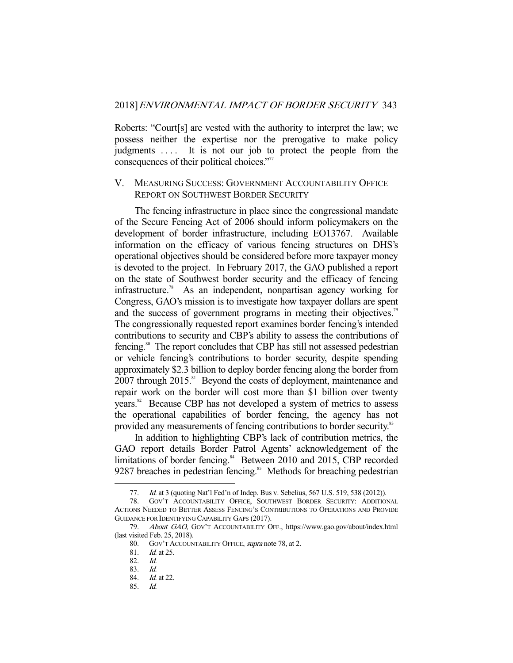Roberts: "Court[s] are vested with the authority to interpret the law; we possess neither the expertise nor the prerogative to make policy judgments .... It is not our job to protect the people from the consequences of their political choices."<sup>77</sup>

### V. MEASURING SUCCESS: GOVERNMENT ACCOUNTABILITY OFFICE REPORT ON SOUTHWEST BORDER SECURITY

 The fencing infrastructure in place since the congressional mandate of the Secure Fencing Act of 2006 should inform policymakers on the development of border infrastructure, including EO13767. Available information on the efficacy of various fencing structures on DHS's operational objectives should be considered before more taxpayer money is devoted to the project. In February 2017, the GAO published a report on the state of Southwest border security and the efficacy of fencing infrastructure.78 As an independent, nonpartisan agency working for Congress, GAO's mission is to investigate how taxpayer dollars are spent and the success of government programs in meeting their objectives.<sup>79</sup> The congressionally requested report examines border fencing's intended contributions to security and CBP's ability to assess the contributions of fencing.<sup>80</sup> The report concludes that CBP has still not assessed pedestrian or vehicle fencing's contributions to border security, despite spending approximately \$2.3 billion to deploy border fencing along the border from 2007 through 2015.<sup>81</sup> Beyond the costs of deployment, maintenance and repair work on the border will cost more than \$1 billion over twenty years.<sup>82</sup> Because CBP has not developed a system of metrics to assess the operational capabilities of border fencing, the agency has not provided any measurements of fencing contributions to border security.<sup>83</sup>

 In addition to highlighting CBP's lack of contribution metrics, the GAO report details Border Patrol Agents' acknowledgement of the limitations of border fencing.<sup>84</sup> Between 2010 and 2015, CBP recorded 9287 breaches in pedestrian fencing.<sup>85</sup> Methods for breaching pedestrian

<sup>77.</sup> *Id.* at 3 (quoting Nat'l Fed'n of Indep. Bus v. Sebelius, 567 U.S. 519, 538 (2012)).

 <sup>78.</sup> GOV'T ACCOUNTABILITY OFFICE, SOUTHWEST BORDER SECURITY: ADDITIONAL ACTIONS NEEDED TO BETTER ASSESS FENCING'S CONTRIBUTIONS TO OPERATIONS AND PROVIDE GUIDANCE FOR IDENTIFYING CAPABILITY GAPS (2017).

<sup>79.</sup> About GAO, GOV'T ACCOUNTABILITY OFF., https://www.gao.gov/about/index.html (last visited Feb. 25, 2018).

<sup>80.</sup> GOV'T ACCOUNTABILITY OFFICE, *supra* note 78, at 2.

 <sup>81.</sup> Id. at 25.

 <sup>82.</sup> Id.

 <sup>83.</sup> Id.

 <sup>84.</sup> Id. at 22.

 <sup>85.</sup> Id.